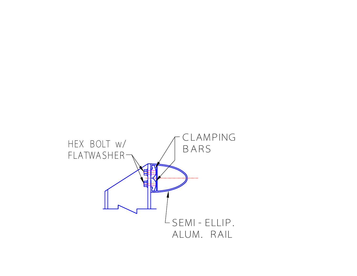